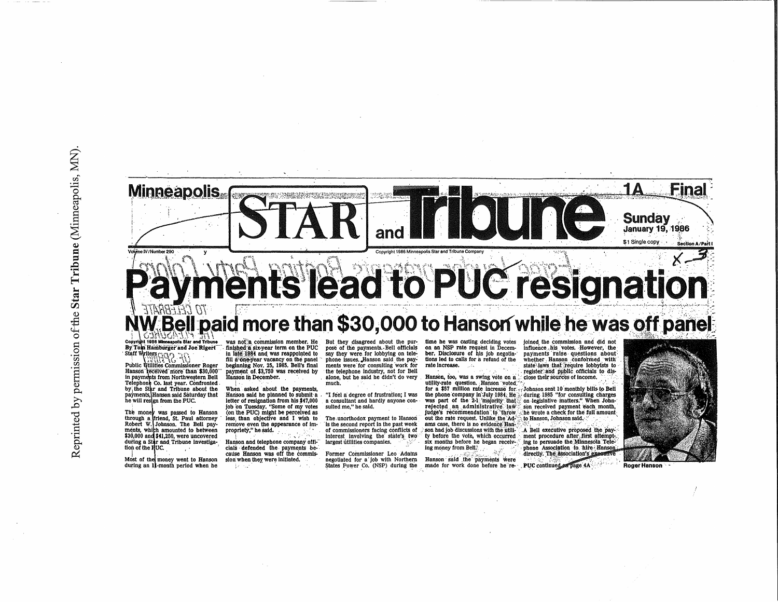

Copyright 1986 Minneapolis Star and Tribune By Tom Hamburger and Joe Rigert

Staff Writers Commissioner Roger Hanson received more than \$30,000 in payments from Northwestern Bell Telephone Co. last year. Confronted by the Star and Tribune about the payments, Hanson said Saturday that he will resign from the PUC.

The money was passed to Hanson<br>through a friend, St. Paul attorney<br>Robert W. Johnson. The Bell payments, which amounted to between \$30,000 and \$41,250, were uncovered during a Star and Tribune investigation of the HUC.

Most of the money went to Hanson during an 11-month period when he

was not a commission member. He But they disagreed about the purfinished a six-year term on the PUC in late 1984 and was reappointed to fill a one-year vacancy on the panel

beginning Nov. 25, 1985. Bell's final payment of \$3,750 was received by Hanson in December. much When asked about the payments,

Hanson said he planned to submit a letter of resignation from his \$47,000 job on Tuesday, "Some of my votes (on the PUC) might be perceived as less than objective and I wish to remove even the appearance of impropriety," he said.

Hanson and telephone company officlais defended the payments because Hanson was off the commission when they were initiated.

nose of the nayments. Bell officials say they were for lobbying on telephone issues. Hanson said the payments were for consulting work for the telephone industry, not for Bell alone, but he said he didn't do very

"I feel a degree of frustration; I was a consultant and hardly anyone consulted me," he said.

The unorthodox payment to Hanson is the second report in the past week of commissioners facing conflicts of interest involving the state's two largest utilities companies.

Former Commissioner Leo Adams negotiated for a job with Northern Hanson said the payments were States Power Co. (NSP) during the made for work done before he re-

time he was casting deciding votes joined the commission and did not on an NSP rate request in Deceminfluence his votes. However, the ber. Disclosure of his job negotianavments raise questions about tions led to calls for a refund of the whether Hanson conformed with rate increase. state laws that require lobbyists to register and public officials to dis-

ing money from Bell.

Hanson, too, was a swing vote on a close their sources of income. utility-rate question. Hanson voted. for a \$57 million rate increase for. Johnson sent 10 monthly bills to Bell

the phone company in July 1984. He ; during 1985 "for consulting charges was part of the 2-1 majority that on legislative matters." When Johnrejected an administrative law son received payment each month, judge's recommendation to 'throw the wrote a check for the full amount out the rate request. Unlike the Adto Hanson. Johnson said. ams case, there is no evidence Han-A Bell executive proposed the payson had job discussions with the utili-

ty before the vote, which occurred ment procedure after first attempt six months before he began receiving to persuade the Minnesota Telephone Association to hire Hanson directly. The association's

PUC continued

Roger Hanson